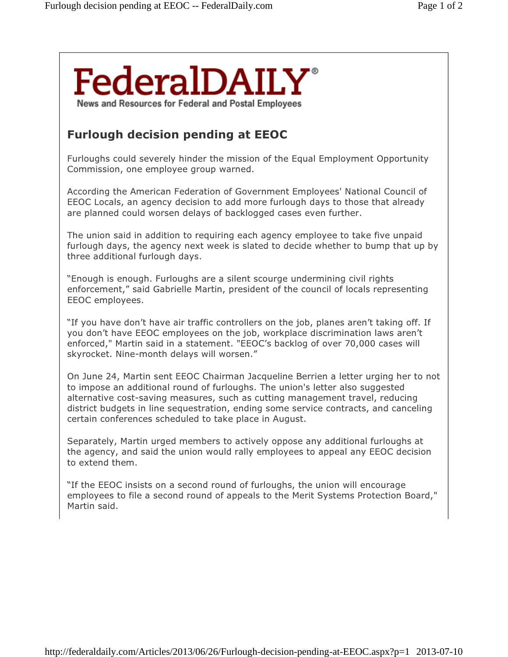## **FederalDAILY** News and Resources for Federal and Postal Employees

## Furlough decision pending at EEOC

Furloughs could severely hinder the mission of the Equal Employment Opportunity Commission, one employee group warned.

According the American Federation of Government Employees' National Council of EEOC Locals, an agency decision to add more furlough days to those that already are planned could worsen delays of backlogged cases even further.

The union said in addition to requiring each agency employee to take five unpaid furlough days, the agency next week is slated to decide whether to bump that up by three additional furlough days.

"Enough is enough. Furloughs are a silent scourge undermining civil rights enforcement," said Gabrielle Martin, president of the council of locals representing EEOC employees.

"If you have don't have air traffic controllers on the job, planes aren't taking off. If you don't have EEOC employees on the job, workplace discrimination laws aren't enforced," Martin said in a statement. "EEOC's backlog of over 70,000 cases will skyrocket. Nine-month delays will worsen."

On June 24, Martin sent EEOC Chairman Jacqueline Berrien a letter urging her to not to impose an additional round of furloughs. The union's letter also suggested alternative cost-saving measures, such as cutting management travel, reducing district budgets in line sequestration, ending some service contracts, and canceling certain conferences scheduled to take place in August.

Separately, Martin urged members to actively oppose any additional furloughs at the agency, and said the union would rally employees to appeal any EEOC decision to extend them.

"If the EEOC insists on a second round of furloughs, the union will encourage employees to file a second round of appeals to the Merit Systems Protection Board," Martin said.